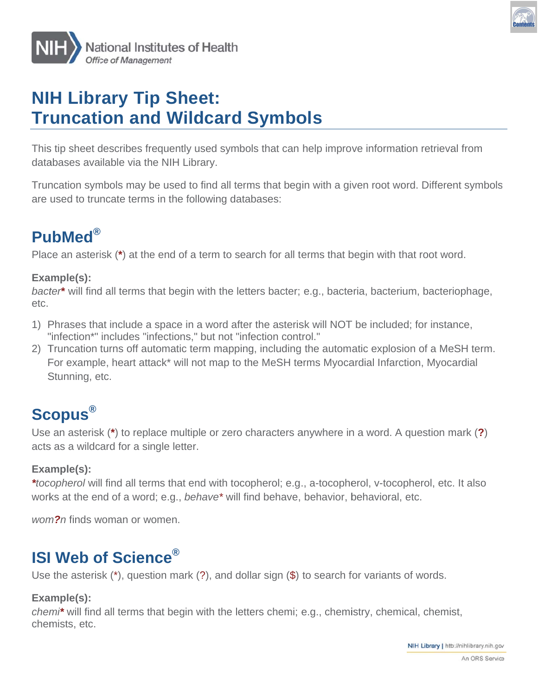



# **NIH Library Tip Sheet: Truncation and Wildcard Symbols**

This tip sheet describes frequently used symbols that can help improve information retrieval from databases available via the NIH Library.

Truncation symbols may be used to find all terms that begin with a given root word. Different symbols are used to truncate terms in the following databases:

## PubMed®

Place an asterisk (\*) at the end of a term to search for all terms that begin with that root word.

#### Example(s):

bacter\* will find all terms that begin with the letters bacter; e.g., bacteria, bacterium, bacteriophage, etc.

- 1) Phrases that include a space in a word after the asterisk will NOT be included; for instance, "infection\*" includes "infections," but not "infection control."
- 2) Truncation turns off automatic term mapping, including the automatic explosion of a MeSH term. For example, heart attack\* will not map to the MeSH terms Myocardial Infarction, Myocardial Stunning, etc.

### **Scopus**®

Use an asterisk (\*) to replace multiple or zero characters anywhere in a word. A question mark (?) acts as a wildcard for a single letter.

#### Example(s):

\*tocopherol will find all terms that end with tocopherol: e.g., a-tocopherol, v-tocopherol, etc. It also works at the end of a word; e.g., behave\* will find behave, behavior, behavioral, etc.

wom?n finds woman or women.

### **ISI Web of Science®**

Use the asterisk  $(*)$ , question mark  $(?)$ , and dollar sign  $(*)$  to search for variants of words.

#### Example(s):

chemi\* will find all terms that begin with the letters chemi; e.g., chemistry, chemical, chemist, chemists, etc.